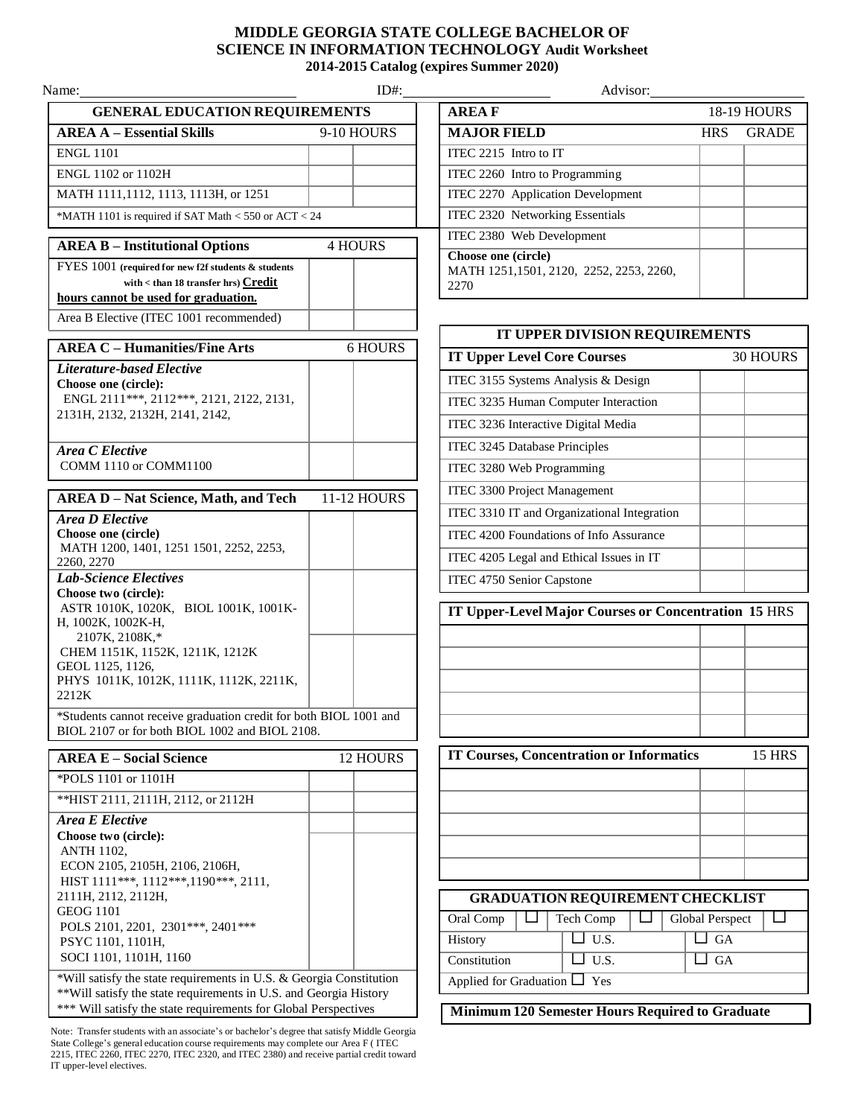## **MIDDLE GEORGIA STATE COLLEGE BACHELOR OF SCIENCE IN INFORMATION TECHNOLOGY Audit Worksheet 2014-2015 Catalog (expires Summer 2020)**

**AREA B – Institutional Options** 4 HOURS FYES 1001 **(required for new f2f students & students with < than 18 transfer hrs) Credit hours cannot be used for graduation.** Area B Elective (ITEC 1001 recommended) **AREA E – Social Science** 12 HOURS \*POLS 1101 or 1101H \*\*HIST 2111, 2111H, 2112, or 2112H *Area E Elective* **Choose two (circle):** ANTH 1102, ECON 2105, 2105H, 2106, 2106H, HIST 1111\*\*\*, 1112\*\*\*,1190\*\*\*, 2111, 2111H, 2112, 2112H, GEOG 1101 POLS 2101, 2201, 2301\*\*\*, 2401\*\*\* PSYC 1101, 1101H, SOCI 1101, 1101H, 1160 \*Will satisfy the state requirements in U.S. & Georgia Constitution \*\*Will satisfy the state requirements in U.S. and Georgia History \*\*\* Will satisfy the state requirements for Global Perspectives Name: Advisor: **GENERAL EDUCATION REQUIREMENTS AREA A** – **Essential Skills** 9-10 HOURS **ENGL 1101** ENGL  $1102$  or  $1102H$ MATH 1111,1112, 1113, 1113H, or 1251  $*$ MATH 1101 is required if SAT Math < 550 or ACT < 24 **AREA C – Humanities/Fine Arts** 6 HOURS *Literature-based Elective* **Choose one (circle):** ENGL 2111\*\*\*, 2112\*\*\*, 2121, 2122, 2131, 2131H, 2132, 2132H, 2141, 2142, *Area C Elective* COMM 1110 or COMM1100 **AREA D – Nat Science, Math, and Tech** 11-12 HOURS *Area D Elective* **Choose one (circle)** MATH 1200, 1401, 1251 1501, 2252, 2253, 2260, 2270 *Lab-Science Electives* **Choose two (circle):** ASTR 1010K, 1020K, BIOL 1001K, 1001K-H, 1002K, 1002K-H, 2107K, 2108K,\* CHEM 1151K, 1152K, 1211K, 1212K GEOL 1125, 1126, PHYS 1011K, 1012K, 1111K, 1112K, 2211K, 2212K \*Students cannot receive graduation credit for both BIOL 1001 and BIOL 2107 or for both BIOL 1002 and BIOL 2108.

Note: Transfer students with an associate's or bachelor's degree that satisfy Middle Georgia State College's general education course requirements may complete our Area F ( ITEC 2215, ITEC 2260, ITEC 2270, ITEC 2320, and ITEC 2380) and receive partial credit toward IT upper-level electives.

| Advisor:                                                               |            |                    |  |
|------------------------------------------------------------------------|------------|--------------------|--|
| <b>AREAF</b>                                                           |            | <b>18-19 HOURS</b> |  |
| <b>MAJOR FIELD</b>                                                     | <b>HRS</b> | <b>GRADE</b>       |  |
| $ITEC 2215$ Intro to IT                                                |            |                    |  |
| ITEC 2260 Intro to Programming                                         |            |                    |  |
| ITEC 2270 Application Development                                      |            |                    |  |
| ITEC 2320 Networking Essentials                                        |            |                    |  |
| ITEC 2380 Web Development                                              |            |                    |  |
| Choose one (circle)<br>MATH 1251,1501, 2120, 2252, 2253, 2260,<br>2270 |            |                    |  |

| IT UPPER DIVISION REQUIREMENTS                              |                        |  |  |
|-------------------------------------------------------------|------------------------|--|--|
| <b>IT Upper Level Core Courses</b>                          | <b>30 HOURS</b>        |  |  |
| ITEC 3155 Systems Analysis & Design                         |                        |  |  |
| ITEC 3235 Human Computer Interaction                        |                        |  |  |
| ITEC 3236 Interactive Digital Media                         |                        |  |  |
| ITEC 3245 Database Principles                               |                        |  |  |
| ITEC 3280 Web Programming                                   |                        |  |  |
| <b>ITEC 3300 Project Management</b>                         |                        |  |  |
| ITEC 3310 IT and Organizational Integration                 |                        |  |  |
| ITEC 4200 Foundations of Info Assurance                     |                        |  |  |
| ITEC 4205 Legal and Ethical Issues in IT                    |                        |  |  |
| ITEC 4750 Senior Capstone                                   |                        |  |  |
| <b>IT Upper-Level Major Courses or Concentration 15 HRS</b> |                        |  |  |
|                                                             |                        |  |  |
|                                                             |                        |  |  |
|                                                             |                        |  |  |
|                                                             |                        |  |  |
|                                                             |                        |  |  |
|                                                             |                        |  |  |
| <b>IT Courses, Concentration or Informatics</b>             | <b>15 HRS</b>          |  |  |
|                                                             |                        |  |  |
|                                                             |                        |  |  |
|                                                             |                        |  |  |
|                                                             |                        |  |  |
|                                                             |                        |  |  |
| <b>GRADUATION REQUIREMENT CHECKLIST</b>                     |                        |  |  |
| Oral Comp<br>Tech Comp                                      | <b>Global Perspect</b> |  |  |
| $\overline{U.S.}$<br>History                                | G A                    |  |  |
| $\overline{U.S.}$<br>Constitution                           | <b>GA</b>              |  |  |
| Applied for Graduation [<br>] Yes                           |                        |  |  |
| Minimum 120 Semester Hours Required to Graduate             |                        |  |  |
|                                                             |                        |  |  |